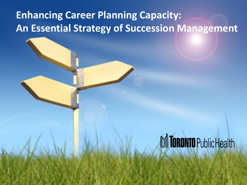#### **Enhancing Career Planning Capacity: An Essential Strategy of Succession Management**

# **M TORONTO** Public Health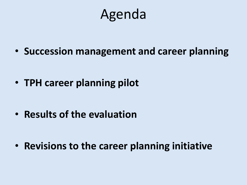#### Agenda

• **Succession management and career planning**

• **TPH career planning pilot**

• **Results of the evaluation**

• **Revisions to the career planning initiative**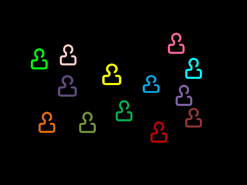$\mathbf{P}_{\mathbf{1}}$ 88 8 R  $\boldsymbol{\mathcal{S}}$ 8 8  $\mathbf{P}$  $\bullet$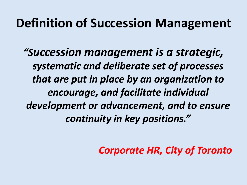#### **Definition of Succession Management**

*"Succession management is a strategic, systematic and deliberate set of processes that are put in place by an organization to encourage, and facilitate individual development or advancement, and to ensure continuity in key positions."* 

*Corporate HR, City of Toronto*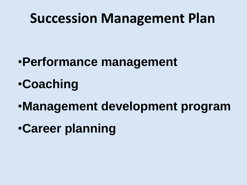#### **Succession Management Plan**

- •**Performance management**
- •**Coaching**
- •**Management development program**
- •**Career planning**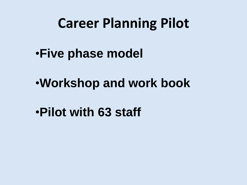#### **Career Planning Pilot**

- •**Five phase model**
- •**Workshop and work book**
- •**Pilot with 63 staff**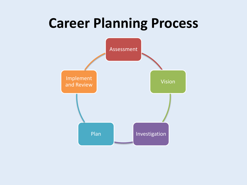#### **Career Planning Process**

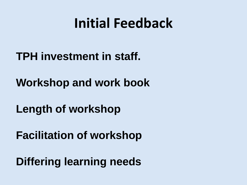#### **Initial Feedback**

**TPH investment in staff.**

**Workshop and work book**

**Length of workshop**

**Facilitation of workshop** 

**Differing learning needs**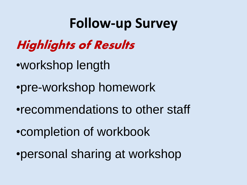#### **Follow-up Survey**

#### **Highlights of Results**

- •workshop length
- •pre-workshop homework
- •recommendations to other staff
- •completion of workbook
- •personal sharing at workshop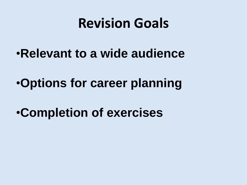#### **Revision Goals**

- •**Relevant to a wide audience**
- •**Options for career planning**
- •**Completion of exercises**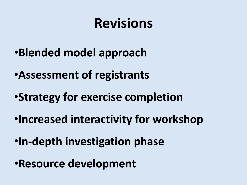### **Revisions**

- •**Blended model approach**
- •**Assessment of registrants**
- •**Strategy for exercise completion**
- •**Increased interactivity for workshop**
- •**In-depth investigation phase**
- •**Resource development**